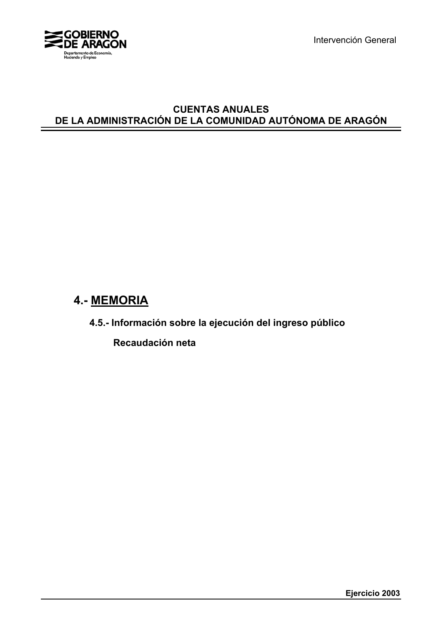

Intervención General

## **CUENTAS ANUALES DE LA ADMINISTRACIÓN DE LA COMUNIDAD AUTÓNOMA DE ARAGÓN**

# **4.- MEMORIA**

**4.5.- Información sobre la ejecución del ingreso público**

 **Recaudación neta**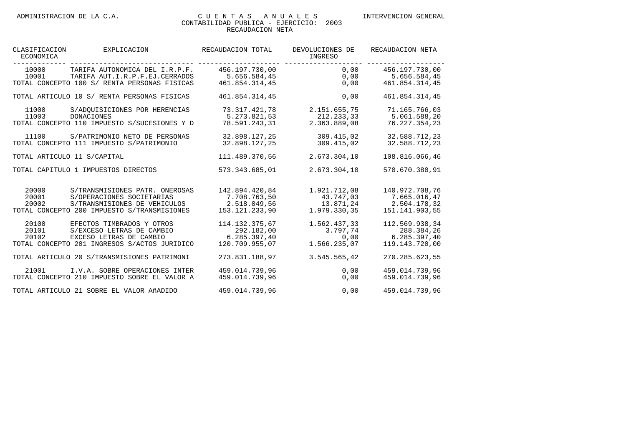| CLASIFICACION<br>ECONOMICA | EXPLICACION                                                                                                                                | RECAUDACION TOTAL                                                | DEVOLUCIONES DE<br>INGRESO                             | RECAUDACION NETA                                                 |
|----------------------------|--------------------------------------------------------------------------------------------------------------------------------------------|------------------------------------------------------------------|--------------------------------------------------------|------------------------------------------------------------------|
| 10001                      | 10000 TARIFA AUTONOMICA DEL I.R.P.F.<br>TARIFA AUT.I.R.P.F.EJ.CERRADOS<br>TOTAL CONCEPTO 100 S/ RENTA PERSONAS FISICAS                     | 456.197.730.00<br>5.656.584.45<br>461.854.314.45                 | 0,00<br>0,00                                           | 0,00 456.197.730,00<br>5.656.584,45<br>461.854.314.45            |
|                            | TOTAL ARTICULO 10 S/ RENTA PERSONAS FISICAS                                                                                                | 461.854.314,45                                                   | 0,00                                                   | 461.854.314,45                                                   |
| 11000<br>11003             | S/ADOUISICIONES POR HERENCIAS<br><b>DONACIONES</b><br>TOTAL CONCEPTO 110 IMPUESTO S/SUCESIONES Y D                                         | 73.317.421,78<br>5.273.821,53<br>78.591.243,31                   | 2.151.655,75<br>212.233,33<br>2.363.889,08             | 71.165.766,03<br>5.061.588,20<br>76.227.354.23                   |
| 11100                      | S/PATRIMONIO NETO DE PERSONAS<br>TOTAL CONCEPTO 111 IMPUESTO S/PATRIMONIO                                                                  | 32.898.127,25<br>32.898.127,25                                   | 309.415,02<br>309.415,02                               | 32.588.712,23<br>32.588.712,23                                   |
|                            | TOTAL ARTICULO 11 S/CAPITAL                                                                                                                | 111.489.370,56                                                   | 2.673.304,10                                           | 108.816.066,46                                                   |
|                            | TOTAL CAPITULO 1 IMPUESTOS DIRECTOS                                                                                                        | 573.343.685,01                                                   | 2.673.304,10                                           | 570.670.380,91                                                   |
| 20000<br>20001<br>20002    | S/TRANSMISIONES PATR. ONEROSAS<br>S/OPERACIONES SOCIETARIAS<br>S/TRANSMISIONES DE VEHICULOS<br>TOTAL CONCEPTO 200 IMPUESTO S/TRANSMISIONES | 142.894.420,84<br>7.708.763,50<br>2.518.049,56<br>153.121.233,90 | 1.921.712,08<br>43.747,03<br>13.871,24<br>1.979.330,35 | 140.972.708,76<br>7.665.016,47<br>2.504.178,32<br>151.141.903,55 |
| 20100<br>20101<br>20102    | EFECTOS TIMBRADOS Y OTROS<br>S/EXCESO LETRAS DE CAMBIO<br>EXCESO LETRAS DE CAMBIO<br>TOTAL CONCEPTO 201 INGRESOS S/ACTOS JURIDICO          | 114.132.375,67<br>292.182,00<br>6.285.397,40<br>120.709.955,07   | 1.562.437,33<br>3.797,74<br>0,00<br>1.566.235,07       | 112.569.938,34<br>288.384,26<br>6.285.397,40<br>119.143.720,00   |
|                            | TOTAL ARTICULO 20 S/TRANSMISIONES PATRIMONI                                                                                                | 273.831.188,97                                                   | 3.545.565.42                                           | 270.285.623,55                                                   |
| 21001                      | I.V.A. SOBRE OPERACIONES INTER<br>TOTAL CONCEPTO 210 IMPUESTO SOBRE EL VALOR A                                                             | 459.014.739.96<br>459.014.739,96                                 | 0.00<br>0,00                                           | 459.014.739.96<br>459.014.739,96                                 |
|                            | TOTAL ARTICULO 21 SOBRE EL VALOR AÑADIDO                                                                                                   | 459.014.739,96                                                   | 0,00                                                   | 459.014.739,96                                                   |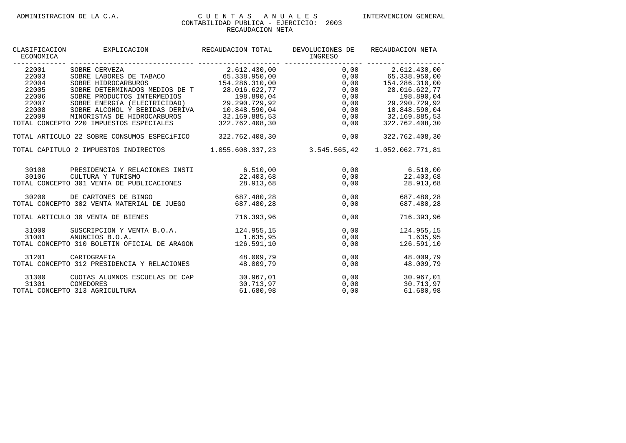| CLASIFICACION<br>ECONOMICA                                           | EXPLICACION                                                                                                                                                                                                                                                                                | RECAUDACION TOTAL                                                                                                                  | DEVOLUCIONES DE<br>INGRESO                                   | RECAUDACION NETA                                                                                                                                           |
|----------------------------------------------------------------------|--------------------------------------------------------------------------------------------------------------------------------------------------------------------------------------------------------------------------------------------------------------------------------------------|------------------------------------------------------------------------------------------------------------------------------------|--------------------------------------------------------------|------------------------------------------------------------------------------------------------------------------------------------------------------------|
| 22001<br>22003<br>22004<br>22005<br>22006<br>22007<br>22008<br>22009 | SOBRE CERVEZA<br>SOBRE LABORES DE TABACO 65.338.950,00<br>SOBRE HIDROCARBUROS<br>SOBRE DETERMINADOS MEDIOS DE T<br>SOBRE PRODUCTOS INTERMEDIOS<br>SOBRE ENERGÍA (ELECTRICIDAD)<br>SOBRE ALCOHOL Y BEBIDAS DERIVA<br>MINORISTAS DE HIDROCARBUROS<br>TOTAL CONCEPTO 220 IMPUESTOS ESPECIALES | 2.612.430,00<br>154.286.310,00<br>28.016.622,77<br>198.890,04<br>29.290.729,92<br>10.848.590,04<br>32.169.885,53<br>322.762.408,30 | 0,00<br>0,00<br>0,00<br>0,00<br>0,00<br>0,00<br>0,00<br>0,00 | 2.612.430,00<br>65.338.950,00<br>154.286.310,00<br>28.016.622,77<br>198.890,04<br>29.290.729,92<br>$0,00$ 10.848.590,04<br>32.169.885,53<br>322.762.408,30 |
|                                                                      | TOTAL ARTICULO 22 SOBRE CONSUMOS ESPECÍFICO                                                                                                                                                                                                                                                | 322.762.408,30                                                                                                                     | 0,00                                                         | 322.762.408,30                                                                                                                                             |
|                                                                      | TOTAL CAPITULO 2 IMPUESTOS INDIRECTOS                                                                                                                                                                                                                                                      |                                                                                                                                    | 1.055.608.337,23 3.545.565,42                                | 1.052.062.771,81                                                                                                                                           |
| 30100<br>30106                                                       | PRESIDENCIA Y RELACIONES INSTI<br>CULTURA Y TURISMO<br>TOTAL CONCEPTO 301 VENTA DE PUBLICACIONES                                                                                                                                                                                           | 6.510.00<br>22.403,68<br>28.913.68                                                                                                 | $0,00$ 6.510,00<br>0,00                                      | 0,00<br>22.403,68<br>28.913,68                                                                                                                             |
| 30200                                                                | DE CARTONES DE BINGO<br>TOTAL CONCEPTO 302 VENTA MATERIAL DE JUEGO                                                                                                                                                                                                                         | 687.480.28<br>687.480.28                                                                                                           | 0.00<br>0,00                                                 | 687.480.28<br>687.480,28                                                                                                                                   |
|                                                                      | TOTAL ARTICULO 30 VENTA DE BIENES                                                                                                                                                                                                                                                          | 716.393,96                                                                                                                         | 0,00                                                         | 716.393,96                                                                                                                                                 |
| 31000<br>31001                                                       | SUSCRIPCION Y VENTA B.O.A.<br>ANUNCIOS B.O.A.<br>TOTAL CONCEPTO 310 BOLETIN OFICIAL DE ARAGON                                                                                                                                                                                              | 124.955,15<br>1.635,95<br>126.591,10                                                                                               | 0,00<br>0,00<br>0,00                                         | 124.955,15<br>1.635,95<br>126.591,10                                                                                                                       |
| 31201                                                                | CARTOGRAFIA<br>TOTAL CONCEPTO 312 PRESIDENCIA Y RELACIONES                                                                                                                                                                                                                                 | 48.009,79<br>48.009,79                                                                                                             | 0,00<br>0,00                                                 | 48.009.79<br>48.009,79                                                                                                                                     |
| 31300<br>31301                                                       | CUOTAS ALUMNOS ESCUELAS DE CAP<br>COMEDORES<br>TOTAL CONCEPTO 313 AGRICULTURA                                                                                                                                                                                                              | 30.967,01<br>30.713,97<br>61.680,98                                                                                                | 0,00<br>0,00                                                 | 30.967,01<br>0,00<br>30.713,97<br>61.680,98                                                                                                                |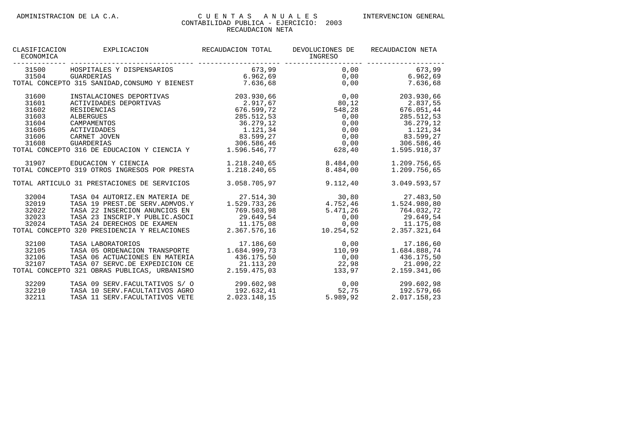| CLASIFICACION<br>ECONOMICA | EXPLICACION                                   | RECAUDACION TOTAL | DEVOLUCIONES DE<br>INGRESO | RECAUDACION NETA  |
|----------------------------|-----------------------------------------------|-------------------|----------------------------|-------------------|
| 31500                      | HOSPITALES Y DISPENSARIOS                     | 673,99            | 0,00                       | 673,99            |
| 31504                      | <b>GUARDERIAS</b>                             | 6.962, 69         | 0,00                       | 6.962,69          |
|                            | TOTAL CONCEPTO 315 SANIDAD, CONSUMO Y BIENEST | 7.636,68          |                            | 0,00<br>7.636,68  |
| 31600                      | INSTALACIONES DEPORTIVAS                      | 203.930,66        | 0,00                       | 203.930,66        |
| 31601                      | ACTIVIDADES DEPORTIVAS                        | 2.917,67          | 80,12                      | 2.837,55          |
| 31602                      | RESIDENCIAS                                   | 676.599,72        | 548,28                     | 676.051,44        |
| 31603                      | <b>ALBERGUES</b>                              | 285.512,53        | 0,00                       | 285.512,53        |
| 31604                      | CAMPAMENTOS                                   | 36.279,12         | 0,00                       | 36.279,12         |
| 31605                      | <b>ACTIVIDADES</b>                            | 1.121,34          | 0,00                       | 1.121,34          |
| 31606                      | CARNET JOVEN                                  | 83.599,27         | 0,00                       | 83.599,27         |
| 31608                      | <b>GUARDERIAS</b>                             | 306.586,46        | 0,00                       | 306.586,46        |
|                            | TOTAL CONCEPTO 316 DE EDUCACION Y CIENCIA Y   | 1.596.546,77      | 628,40                     | 1.595.918,37      |
| 31907                      | EDUCACION Y CIENCIA                           | 1.218.240,65      | 8.484.00                   | 1.209.756,65      |
|                            | TOTAL CONCEPTO 319 OTROS INGRESOS POR PRESTA  | 1.218.240.65      | 8.484.00                   | 1.209.756.65      |
|                            | TOTAL ARTICULO 31 PRESTACIONES DE SERVICIOS   | 3.058.705.97      | 9.112.40                   | 3.049.593,57      |
| 32004                      | TASA 04 AUTORIZ.EN MATERIA DE                 | 27.514,30         | 30,80                      | 27.483,50         |
| 32019                      | TASA 19 PREST.DE SERV.ADMVOS.Y                | 1.529.733.26      | 4.752,46                   | 1.524.980,80      |
| 32022                      | TASA 22 INSERCION ANUNCIOS EN                 | 769.503,98        | 5.471,26                   | 764.032,72        |
| 32023                      | TASA 23 INSCRIP.Y PUBLIC.ASOCI                | 29.649,54         | 0,00                       | 29.649,54         |
| 32024                      | TASA 24 DERECHOS DE EXAMEN                    | 11.175,08         |                            | 0,00<br>11.175,08 |
|                            | TOTAL CONCEPTO 320 PRESIDENCIA Y RELACIONES   | 2.367.576,16      | 10.254,52                  | 2.357.321,64      |
| 32100                      | TASA LABORATORIOS                             | 17.186,60         | 0,00                       | 17.186,60         |
| 32105                      | TASA 05 ORDENACION TRANSPORTE                 | 1.684.999,73      | 110,99                     | 1.684.888,74      |
| 32106                      | TASA 06 ACTUACIONES EN MATERIA                | 436.175,50        | 0,00                       | 436.175,50        |
| 32107                      | TASA 07 SERVC.DE EXPEDICION CE                | 21.113,20         | 22,98                      | 21.090,22         |
|                            | TOTAL CONCEPTO 321 OBRAS PUBLICAS, URBANISMO  | 2.159.475,03      | 133,97                     | 2.159.341,06      |
| 32209                      | TASA 09 SERV. FACULTATIVOS S/ 0               | 299.602,98        | 0,00                       | 299.602,98        |
| 32210                      | TASA 10 SERV. FACULTATIVOS AGRO               | 192.632,41        | $52, 75$<br>$389.92$       | 192.579,66        |
| 32211                      | TASA 11 SERV. FACULTATIVOS VETE               | 2.023.148,15      | 5.989,92                   | 2.017.158,23      |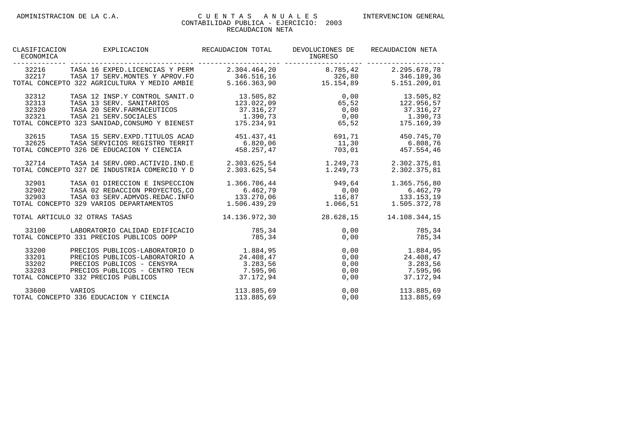| CLASIFICACION<br>ECONOMICA       | EXPLICACION                                                                                                                                                             | RECAUDACION TOTAL                                              | DEVOLUCIONES DE<br>INGRESO             | RECAUDACION NETA                                               |
|----------------------------------|-------------------------------------------------------------------------------------------------------------------------------------------------------------------------|----------------------------------------------------------------|----------------------------------------|----------------------------------------------------------------|
| 32216<br>32217                   | TASA 16 EXPED. LICENCIAS Y PERM<br>TASA 17 SERV. MONTES Y APROV. FO<br>TOTAL CONCEPTO 322 AGRICULTURA Y MEDIO AMBIE                                                     | 2.304.464,20<br>346.516,16<br>5.166.363,90                     | 8.785,42<br>326,80<br>15.154,89        | 2.295.678,78<br>346.189,36<br>5.151.209,01                     |
| 32312<br>32313<br>32320<br>32321 | TASA 12 INSP.Y CONTROL SANIT.O<br>TASA 13 SERV. SANITARIOS<br>TASA 20 SERV. FARMACEUTICOS<br>TASA 21 SERV. SOCIALES<br>TOTAL CONCEPTO 323 SANIDAD, CONSUMO Y BIENEST    | 13.505,82<br>123.022,09<br>37.316,27<br>1.390,73<br>175.234,91 | 0,00<br>65,52<br>0,00<br>0,00<br>65,52 | 13.505,82<br>122.956,57<br>37.316,27<br>1.390,73<br>175.169,39 |
| 32615<br>32625                   | TASA 15 SERV. EXPD. TITULOS ACAD<br>TASA SERVICIOS REGISTRO TERRIT<br>TOTAL CONCEPTO 326 DE EDUCACION Y CIENCIA                                                         | 451.437,41<br>6.820.06<br>458.257,47                           | 691,71<br>11,30<br>703,01              | 450.745,70<br>6.808,76<br>457.554,46                           |
| 32714                            | TASA 14 SERV.ORD.ACTIVID.IND.E<br>TOTAL CONCEPTO 327 DE INDUSTRIA COMERCIO Y D                                                                                          | 2.303.625,54<br>2.303.625,54                                   | 1.249,73<br>1.249,73                   | 2.302.375,81<br>2.302.375,81                                   |
| 32901<br>32902<br>32903          | TASA 01 DIRECCION E INSPECCION<br>TASA 02 REDACCION PROYECTOS, CO<br>TASA 03 SERV. ADMVOS. REDAC. INFO<br>TOTAL CONCEPTO 329 VARIOS DEPARTAMENTOS                       | 1.366.706,44<br>6.462,79<br>133.270.06<br>1.506.439.29         | 949,64<br>0,00<br>116,87<br>1.066,51   | 1.365.756,80<br>6.462,79<br>133.153.19<br>1.505.372,78         |
|                                  | TOTAL ARTICULO 32 OTRAS TASAS                                                                                                                                           | 14.136.972.30                                                  | 28.628,15                              | 14.108.344.15                                                  |
| 33100                            | LABORATORIO CALIDAD EDIFICACIO<br>TOTAL CONCEPTO 331 PRECIOS PUBLICOS OOPP                                                                                              | 785,34<br>785,34                                               | 0,00<br>0,00                           | 785,34<br>785,34                                               |
| 33200<br>33201<br>33202<br>33203 | PRECIOS PUBLICOS-LABORATORIO D<br>PRECIOS PUBLICOS-LABORATORIO A<br>PRECIOS PÚBLICOS - CENSYRA<br>PRECIOS PÚBLICOS - CENTRO TECN<br>TOTAL CONCEPTO 332 PRECIOS PÚBLICOS | 1.884,95<br>24.408,47<br>3.283,56<br>7.595,96<br>37.172.94     | 0,00<br>0,00<br>0,00<br>0,00<br>0,00   | 1.884,95<br>24.408,47<br>3.283,56<br>7.595,96<br>37.172,94     |
| 33600                            | VARIOS<br>TOTAL CONCEPTO 336 EDUCACION Y CIENCIA                                                                                                                        | 113.885,69<br>113.885,69                                       | 0,00<br>0,00                           | 113.885,69<br>113.885,69                                       |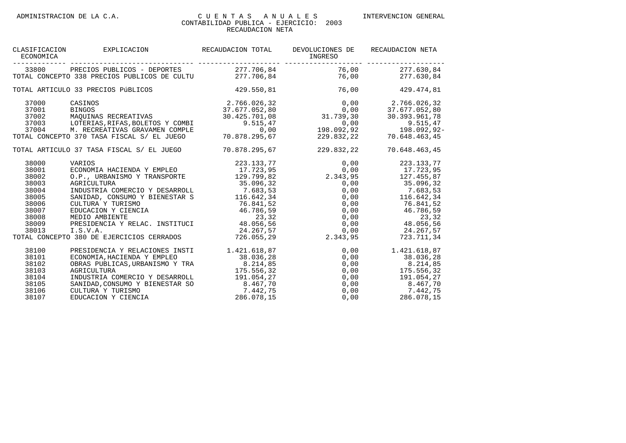|                                            |               | DEVOLUCIONES DE<br>INGRESO                                                                                                                                                                                                                                                                                                                                                                                                                                                                                                                                                                                                        | RECAUDACION NETA                                                                                                                                                                                                                                                                                                                                                                                                                                                                                                                                                                                                                                                                                                                                                                                                                                         |
|--------------------------------------------|---------------|-----------------------------------------------------------------------------------------------------------------------------------------------------------------------------------------------------------------------------------------------------------------------------------------------------------------------------------------------------------------------------------------------------------------------------------------------------------------------------------------------------------------------------------------------------------------------------------------------------------------------------------|----------------------------------------------------------------------------------------------------------------------------------------------------------------------------------------------------------------------------------------------------------------------------------------------------------------------------------------------------------------------------------------------------------------------------------------------------------------------------------------------------------------------------------------------------------------------------------------------------------------------------------------------------------------------------------------------------------------------------------------------------------------------------------------------------------------------------------------------------------|
|                                            |               |                                                                                                                                                                                                                                                                                                                                                                                                                                                                                                                                                                                                                                   | 76,00 277.630,84                                                                                                                                                                                                                                                                                                                                                                                                                                                                                                                                                                                                                                                                                                                                                                                                                                         |
|                                            |               |                                                                                                                                                                                                                                                                                                                                                                                                                                                                                                                                                                                                                                   | 76,00<br>277.630,84                                                                                                                                                                                                                                                                                                                                                                                                                                                                                                                                                                                                                                                                                                                                                                                                                                      |
|                                            |               | 76,00                                                                                                                                                                                                                                                                                                                                                                                                                                                                                                                                                                                                                             | 429.474,81                                                                                                                                                                                                                                                                                                                                                                                                                                                                                                                                                                                                                                                                                                                                                                                                                                               |
| CASINOS                                    |               |                                                                                                                                                                                                                                                                                                                                                                                                                                                                                                                                                                                                                                   | $0,00$ 2.766.026,32                                                                                                                                                                                                                                                                                                                                                                                                                                                                                                                                                                                                                                                                                                                                                                                                                                      |
| <b>BINGOS</b>                              |               |                                                                                                                                                                                                                                                                                                                                                                                                                                                                                                                                                                                                                                   | 37.677.052,80                                                                                                                                                                                                                                                                                                                                                                                                                                                                                                                                                                                                                                                                                                                                                                                                                                            |
|                                            |               |                                                                                                                                                                                                                                                                                                                                                                                                                                                                                                                                                                                                                                   | 30.393.961,78                                                                                                                                                                                                                                                                                                                                                                                                                                                                                                                                                                                                                                                                                                                                                                                                                                            |
|                                            |               |                                                                                                                                                                                                                                                                                                                                                                                                                                                                                                                                                                                                                                   | 9.515,47                                                                                                                                                                                                                                                                                                                                                                                                                                                                                                                                                                                                                                                                                                                                                                                                                                                 |
| M. RECREATIVAS GRAVAMEN COMPLE             |               |                                                                                                                                                                                                                                                                                                                                                                                                                                                                                                                                                                                                                                   | 198.092,92-                                                                                                                                                                                                                                                                                                                                                                                                                                                                                                                                                                                                                                                                                                                                                                                                                                              |
| TOTAL CONCEPTO 370 TASA FISCAL S/ EL JUEGO | 70.878.295,67 |                                                                                                                                                                                                                                                                                                                                                                                                                                                                                                                                                                                                                                   | 70.648.463,45                                                                                                                                                                                                                                                                                                                                                                                                                                                                                                                                                                                                                                                                                                                                                                                                                                            |
|                                            |               | 229.832,22                                                                                                                                                                                                                                                                                                                                                                                                                                                                                                                                                                                                                        | 70.648.463,45                                                                                                                                                                                                                                                                                                                                                                                                                                                                                                                                                                                                                                                                                                                                                                                                                                            |
|                                            |               |                                                                                                                                                                                                                                                                                                                                                                                                                                                                                                                                                                                                                                   |                                                                                                                                                                                                                                                                                                                                                                                                                                                                                                                                                                                                                                                                                                                                                                                                                                                          |
|                                            |               |                                                                                                                                                                                                                                                                                                                                                                                                                                                                                                                                                                                                                                   |                                                                                                                                                                                                                                                                                                                                                                                                                                                                                                                                                                                                                                                                                                                                                                                                                                                          |
|                                            |               |                                                                                                                                                                                                                                                                                                                                                                                                                                                                                                                                                                                                                                   |                                                                                                                                                                                                                                                                                                                                                                                                                                                                                                                                                                                                                                                                                                                                                                                                                                                          |
| AGRICULTURA                                |               |                                                                                                                                                                                                                                                                                                                                                                                                                                                                                                                                                                                                                                   |                                                                                                                                                                                                                                                                                                                                                                                                                                                                                                                                                                                                                                                                                                                                                                                                                                                          |
|                                            |               |                                                                                                                                                                                                                                                                                                                                                                                                                                                                                                                                                                                                                                   |                                                                                                                                                                                                                                                                                                                                                                                                                                                                                                                                                                                                                                                                                                                                                                                                                                                          |
|                                            |               |                                                                                                                                                                                                                                                                                                                                                                                                                                                                                                                                                                                                                                   |                                                                                                                                                                                                                                                                                                                                                                                                                                                                                                                                                                                                                                                                                                                                                                                                                                                          |
| CULTURA Y TURISMO                          |               | $0,00$ 76.841,52                                                                                                                                                                                                                                                                                                                                                                                                                                                                                                                                                                                                                  |                                                                                                                                                                                                                                                                                                                                                                                                                                                                                                                                                                                                                                                                                                                                                                                                                                                          |
| EDUCACION Y CIENCIA                        |               |                                                                                                                                                                                                                                                                                                                                                                                                                                                                                                                                                                                                                                   |                                                                                                                                                                                                                                                                                                                                                                                                                                                                                                                                                                                                                                                                                                                                                                                                                                                          |
|                                            |               |                                                                                                                                                                                                                                                                                                                                                                                                                                                                                                                                                                                                                                   |                                                                                                                                                                                                                                                                                                                                                                                                                                                                                                                                                                                                                                                                                                                                                                                                                                                          |
|                                            |               |                                                                                                                                                                                                                                                                                                                                                                                                                                                                                                                                                                                                                                   |                                                                                                                                                                                                                                                                                                                                                                                                                                                                                                                                                                                                                                                                                                                                                                                                                                                          |
| I.S.V.A.                                   |               |                                                                                                                                                                                                                                                                                                                                                                                                                                                                                                                                                                                                                                   | $0,00$ 24.267,57                                                                                                                                                                                                                                                                                                                                                                                                                                                                                                                                                                                                                                                                                                                                                                                                                                         |
|                                            |               | 2.343,95                                                                                                                                                                                                                                                                                                                                                                                                                                                                                                                                                                                                                          | 723.711,34                                                                                                                                                                                                                                                                                                                                                                                                                                                                                                                                                                                                                                                                                                                                                                                                                                               |
|                                            |               |                                                                                                                                                                                                                                                                                                                                                                                                                                                                                                                                                                                                                                   | 1.421.618,87                                                                                                                                                                                                                                                                                                                                                                                                                                                                                                                                                                                                                                                                                                                                                                                                                                             |
| ECONOMIA, HACIENDA Y EMPLEO                | 38.036,28     |                                                                                                                                                                                                                                                                                                                                                                                                                                                                                                                                                                                                                                   |                                                                                                                                                                                                                                                                                                                                                                                                                                                                                                                                                                                                                                                                                                                                                                                                                                                          |
|                                            |               |                                                                                                                                                                                                                                                                                                                                                                                                                                                                                                                                                                                                                                   |                                                                                                                                                                                                                                                                                                                                                                                                                                                                                                                                                                                                                                                                                                                                                                                                                                                          |
| AGRICULTURA                                |               |                                                                                                                                                                                                                                                                                                                                                                                                                                                                                                                                                                                                                                   |                                                                                                                                                                                                                                                                                                                                                                                                                                                                                                                                                                                                                                                                                                                                                                                                                                                          |
|                                            |               |                                                                                                                                                                                                                                                                                                                                                                                                                                                                                                                                                                                                                                   |                                                                                                                                                                                                                                                                                                                                                                                                                                                                                                                                                                                                                                                                                                                                                                                                                                                          |
|                                            |               |                                                                                                                                                                                                                                                                                                                                                                                                                                                                                                                                                                                                                                   |                                                                                                                                                                                                                                                                                                                                                                                                                                                                                                                                                                                                                                                                                                                                                                                                                                                          |
| CULTURA Y TURISMO                          |               |                                                                                                                                                                                                                                                                                                                                                                                                                                                                                                                                                                                                                                   |                                                                                                                                                                                                                                                                                                                                                                                                                                                                                                                                                                                                                                                                                                                                                                                                                                                          |
| EDUCACION Y CIENCIA                        | 286.078,15    |                                                                                                                                                                                                                                                                                                                                                                                                                                                                                                                                                                                                                                   |                                                                                                                                                                                                                                                                                                                                                                                                                                                                                                                                                                                                                                                                                                                                                                                                                                                          |
|                                            |               | 33800 PRECIOS PUBLICOS - DEPORTES<br>TOTAL CONCEPTO 338 PRECIOS PUBLICOS DE CULTU<br>TOTAL ARTICULO 33 PRECIOS PÚBLICOS<br>MAQUINAS RECREATIVAS<br>37003 LOTERIAS, RIFAS, BOLETOS Y COMBI<br>TOTAL ARTICULO 37 TASA FISCAL S/ EL JUEGO<br>O.P., URBANISMO Y TRANSPORTE<br>AGRICULTURA 35.096,32<br>INDUSTRIA COMERCIO Y DESARROLL 7.683,53<br>SANIDAD, CONSUMO Y BIENESTAR S 116.642,34<br>TOTAL CONCEPTO 380 DE EJERCICIOS CERRADOS<br>PRESIDENCIA Y RELACIONES INSTI 1.421.618,87<br>OBRAS PUBLICAS, URBANISMO Y TRA<br>8.214,85<br>175.556,32<br>INDUSTRIA COMERCIO Y DESARROLL<br>8.467,70<br>SANIDAD, CONSUMO Y BIENESTAR SO | EXPLICACION RECAUDACION TOTAL<br>____________ _____________<br>277.706,84<br>277.706,84<br>429.550,81<br>2.766.026,32 0,00<br>37.677.052,80 0,00<br>37.677.052,80 0,00<br>30.425.701,08 31.739,30<br>GRAVAMEN COMPLE 9.515,47 0,00<br>0,00<br>0,00<br>0,00<br>0,00<br>0,00<br>0,00<br>$0,00$<br>198.092,92<br>229.832,22<br>70.878.295,67<br>35.096,32 0,00 35.096,32<br>$0,00$ 7.683,53<br>$0,00$ 116.642,34<br>$ 116.642,34$<br>$76.841,52$<br>$46.786,59$<br>46.786,59 0,00 46.786,59<br>MEDIO AMBIENTE<br>PRESIDENCIA Y RELAC. INSTITUCI 48.056,56 0,00 48.056,56 48.056,56<br>24.267,57<br>726.055,29<br>0,00<br>$\begin{array}{cc} 0.00 & 1.421.016, 87 \\ 0.00 & 38.036, 28 \\ 0.00 & 8.214, 85 \\ 0.00 & 175.556, 32 \\ 0.00 & 191.054, 27 \\ 0.00 & 8.467, 70 \\ 0.00 & 7.442, 75 \\ 0.00 & 286.078, 15 \end{array}$<br>191.054,27<br>8.407, 75 |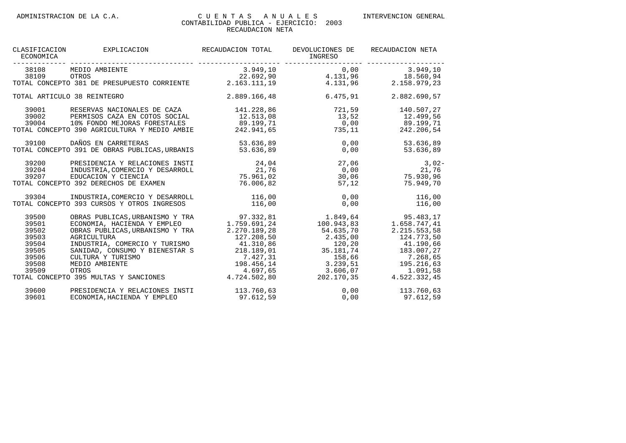| CLASIFICACION<br>ECONOMICA | EXPLICACION                                                                                   | RECAUDACION TOTAL         | DEVOLUCIONES DE<br>INGRESO<br>--------------                                    | RECAUDACION NETA                                                       |
|----------------------------|-----------------------------------------------------------------------------------------------|---------------------------|---------------------------------------------------------------------------------|------------------------------------------------------------------------|
| 38108                      | MEDIO AMBIENTE                                                                                | 3.949, 10                 | 0,00                                                                            | 3.949, 10                                                              |
|                            |                                                                                               |                           |                                                                                 | $4.131,96$<br>$4.131,96$<br>$4.131,96$<br>$4.131,96$<br>$2.158.979,23$ |
|                            | 38109 OTROS<br>TOTAL CONCEPTO 381 DE PRESUPUESTO CORRIENTE 2.163.111,19                       |                           |                                                                                 |                                                                        |
|                            | TOTAL ARTICULO 38 REINTEGRO                                                                   | 2.889.166,48              | 6.475,91                                                                        | 2.882.690,57                                                           |
| 39001                      | RESERVAS NACIONALES DE CAZA                                                                   | 141.228,86                | 721,59                                                                          | 140.507,27                                                             |
| 39002                      | PERMISOS CAZA EN COTOS SOCIAL                                                                 | 12.513,08                 | $13,52$ $12.499,56$<br>0,00 $89.199,71$                                         |                                                                        |
| 39004                      | 10% FONDO MEJORAS FORESTALES 89.199,71                                                        |                           |                                                                                 |                                                                        |
|                            | TOTAL CONCEPTO 390 AGRICULTURA Y MEDIO AMBIE 242.941,65 735,11                                |                           |                                                                                 | 242.206,54                                                             |
|                            | 39100 DAÑOS EN CARRETERAS 53.636,89<br>TOTAL CONCEPTO 391 DE OBRAS PUBLICAS,URBANIS 53.636,89 |                           | 0,00                                                                            | 53.636,89                                                              |
|                            |                                                                                               |                           | 0,00                                                                            | 53.636,89                                                              |
| 39200                      | PRESIDENCIA Y RELACIONES INSTI                                                                | 24,04                     | 27,06                                                                           | $3,02-$                                                                |
| 39204                      | INDUSTRIA, COMERCIO Y DESARROLL                                                               | 21,76                     | 0,00                                                                            | 21,76                                                                  |
| 39207                      | EDUCACION Y CIENCIA                                                                           | 75.961,02                 |                                                                                 | 30,06 75.930,96                                                        |
|                            | TOTAL CONCEPTO 392 DERECHOS DE EXAMEN                                                         |                           | 76.006,82<br>57,12                                                              | 75.949,70                                                              |
| 39304                      | INDUSTRIA, COMERCIO Y DESARROLL                                                               | 116,00                    | 0,00                                                                            | 116,00                                                                 |
|                            | TOTAL CONCEPTO 393 CURSOS Y OTROS INGRESOS                                                    | 116,00                    | 0,00                                                                            | 116,00                                                                 |
| 39500                      | OBRAS PUBLICAS, URBANISMO Y TRA $97.332,81$<br>ECONOMIA, HACIENDA Y EMPLEO $1.759.691,24$     |                           | 1.849,64                                                                        | 95.483, 17                                                             |
| 39501                      |                                                                                               |                           | 100.943,83                                                                      | 1.658.747,41                                                           |
| 39502                      | OBRAS PUBLICAS, URBANISMO Y TRA                                                               | 2.270.189,28              | 54.635,70                                                                       | 2.215.553,58                                                           |
| 39503                      | AGRICULTURA                                                                                   | 127.208,50                | 2.435,00                                                                        | 124.773,50                                                             |
| 39504                      | INDUSTRIA, COMERCIO Y TURISMO                                                                 | $41.310,86$<br>218.189,01 | 120,20                                                                          | 41.190,66                                                              |
| 39505                      | SANIDAD, CONSUMO Y BIENESTAR S                                                                |                           |                                                                                 | 183.007,27                                                             |
| 39506                      | CULTURA Y TURISMO                                                                             |                           |                                                                                 | 7.268,65                                                               |
| 39508                      | MEDIO AMBIENTE                                                                                |                           |                                                                                 | 195.216,63                                                             |
| 39509                      | OTROS                                                                                         |                           |                                                                                 | 1.091,58                                                               |
|                            | TOTAL CONCEPTO 395 MULTAS Y SANCIONES                                                         |                           | 218.189,01<br>7.427,31<br>198.456,14<br>4.697,65<br>198.4502,80<br>202.170,35 4 | 4.522.332,45                                                           |
| 39600                      | PRESIDENCIA Y RELACIONES INSTI                                                                | 113.760,63                |                                                                                 | 0,00 113.760,63                                                        |
| 39601                      | ECONOMIA, HACIENDA Y EMPLEO                                                                   | 97.612,59                 | 0,00                                                                            | 97.612,59                                                              |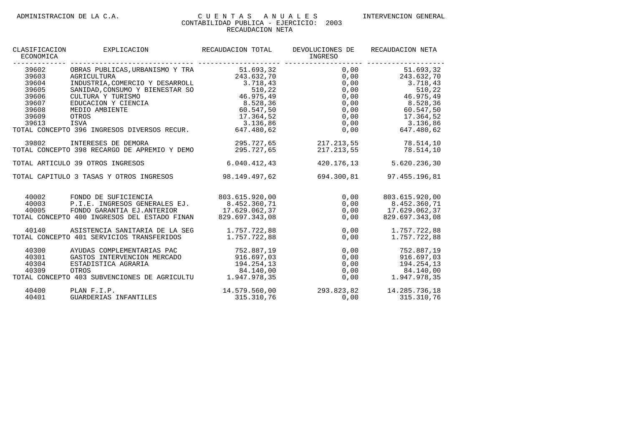| CLASIFICACION<br>ECONOMICA                                                    | EXPLICACION                                                                                                                                                                                                                                                                                                                        | RECAUDACION TOTAL                                | DEVOLUCIONES DE<br>INGRESO                                         | RECAUDACION NETA                                                                                                                                                                              |
|-------------------------------------------------------------------------------|------------------------------------------------------------------------------------------------------------------------------------------------------------------------------------------------------------------------------------------------------------------------------------------------------------------------------------|--------------------------------------------------|--------------------------------------------------------------------|-----------------------------------------------------------------------------------------------------------------------------------------------------------------------------------------------|
| 39602<br>39603<br>39604<br>39605<br>39606<br>39607<br>39608<br>39609<br>39613 | OBRAS PUBLICAS, URBANISMO Y TRA 51.693,32<br>AGRICULTURA<br>INDUSTRIA, COMERCIO Y DESARROLL 3.718,43<br>SANIDAD, CONSUMO Y BIENESTAR SO 510, 22<br>CULTURA Y TURISMO 46.975, 49<br>CULTURA Y TURISMO<br>EDUCACION Y CIENCIA (8.528,36<br>MEDIO AMBIENTE<br>OTROS<br>ISVA<br>TOTAL CONCEPTO 396 INGRESOS DIVERSOS RECUR. 647.480,62 | 243.632,70<br>60.547,50<br>17.364,52<br>3.136,86 | 0,00                                                               | 51.693,32<br>$0,00$ 243.632,70<br>$0,00$ $3.718,43$<br>0,00<br>510,22<br>$0,00$ 46.975,49<br>$0,00$ 8.528,36<br>0,00 60.547,50<br>$0,00$ 17.364,52<br>$0,00$ $3.136,86$<br>0,00<br>647.480,62 |
| 39802                                                                         | INTERESES DE DEMORA<br>TOTAL CONCEPTO 398 RECARGO DE APREMIO Y DEMO                                                                                                                                                                                                                                                                |                                                  | 295.727,65 217.213,55 78.514,10<br>295.727,65 217.213,55 78.514,10 |                                                                                                                                                                                               |
|                                                                               | TOTAL ARTICULO 39 OTROS INGRESOS                                                                                                                                                                                                                                                                                                   | 6.040.412, 43                                    | 420.176,13                                                         | 5.620.236,30                                                                                                                                                                                  |
|                                                                               | TOTAL CAPITULO 3 TASAS Y OTROS INGRESOS                                                                                                                                                                                                                                                                                            | 98.149.497,62                                    | 694.300,81                                                         | 97.455.196,81                                                                                                                                                                                 |
| 40003<br>40005                                                                | 40002 FONDO DE SUFICIENCIA<br>P.I.E. INGRESOS GENERALES EJ.<br>FONDO GARANTIA EJ.ANTERIOR 17.629.062,37<br>TOTAL CONCEPTO 400 INGRESOS DEL ESTADO FINAN                                                                                                                                                                            | 803.615.920,00<br>8.452.360,71<br>829.697.343.08 | 0,00<br>0,00<br>0,00                                               | 803.615.920,00<br>$0,00$ $8.452.360,71$<br>17.629.062,37<br>829.697.343.08                                                                                                                    |
| 40140                                                                         | ASISTENCIA SANITARIA DE LA SEG 1.757.722,88<br>TOTAL CONCEPTO 401 SERVICIOS TRANSFERIDOS                                                                                                                                                                                                                                           | 1.757.722,88                                     | 0,00                                                               | $0,00$ 1.757.722,88<br>1.757.722,88                                                                                                                                                           |
| 40300<br>40301<br>40304<br>40309                                              | AYUDAS COMPLEMENTARIAS PAC<br>GASTOS INTERVENCION MERCADO 916.697,03<br>ESTADISTICA AGRARIA<br>OTROS<br>TOTAL CONCEPTO 403 SUBVENCIONES DE AGRICULTU 1.947.978,35                                                                                                                                                                  | 752.887,19<br>194.254,13<br>84.140.00            | 0,00                                                               | 752.887,19<br>$\begin{array}{ccc} 0,00 & 0.00 & 0.00 \\ 0,00 & 0.00 & 194.254,13 \\ 0,00 & 0.01 & 84.140,00 \\ 0,00 & 1.947.978,35 \end{array}$                                               |
| 40400<br>40401                                                                | PLAN F.I.P.<br>GUARDERIAS INFANTILES                                                                                                                                                                                                                                                                                               | 315.310,76                                       | 14.579.560,00 293.823,82 14.285.736,18                             | 0,00<br>315.310,76                                                                                                                                                                            |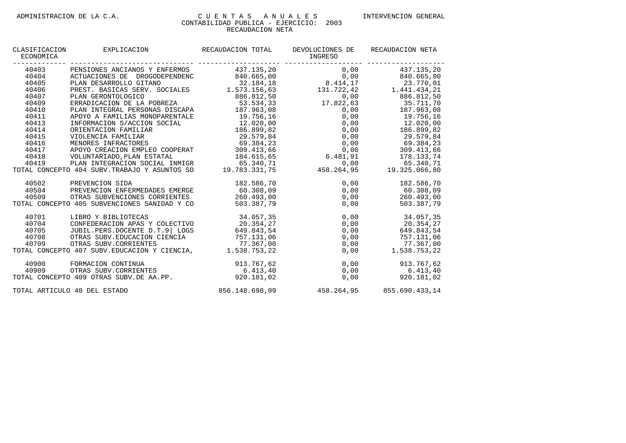| CLASIFICACION<br>ECONOMICA | EXPLICACION                                                                                        | RECAUDACION TOTAL | DEVOLUCIONES DE<br>INGRESO                                                                                                                                                                                                                                            | RECAUDACION NETA   |
|----------------------------|----------------------------------------------------------------------------------------------------|-------------------|-----------------------------------------------------------------------------------------------------------------------------------------------------------------------------------------------------------------------------------------------------------------------|--------------------|
| 40403                      | PENSIONES ANCIANOS Y ENFERMOS 437.135,20                                                           |                   |                                                                                                                                                                                                                                                                       | $0,00$ 437.135,20  |
| 40404                      | ACTUACIONES DE DROGODEPENDENC 840.665,00                                                           |                   |                                                                                                                                                                                                                                                                       |                    |
| 40405                      |                                                                                                    |                   |                                                                                                                                                                                                                                                                       |                    |
| 40406                      | PLAN DESARROLLO GITANO 32.184,18<br>PREST. BASICAS SERV. SOCIALES 1.573.156,63                     |                   | $\begin{array}{ccc} & 0\, , \, 0\, 0 && 8\, 4\, 0\, . \, 6\, 6\, 5\, , \, 0\, 0 \\ 8\, . \, 4\, 1\, 4\, , \, 1\, 7 && 2\, 3\, . \, 7\, 7\, 0\, , \, 0\, 1 \\ 1\, 3\, 1\, . \, 7\, 2\, 2\, , \, 4\, 2 && 1\, . \, 4\, 4\, 1\, . \, 4\, 3\, 4\, , \, 2\, 1 \end{array}$ |                    |
| 40407                      | PLAN GERONTOLOGICO                                                                                 | 886.812,50        |                                                                                                                                                                                                                                                                       | 0,00<br>886.812,50 |
| 40409                      | ERRADICACION DE LA POBREZA                                                                         | 53.534,33         | $17.822,63$ $35.711,70$                                                                                                                                                                                                                                               |                    |
| 40410                      | PLAN INTEGRAL PERSONAS DISCAPA 187.963,08                                                          |                   |                                                                                                                                                                                                                                                                       | 0,00 187.963,08    |
| 40411                      | APOYO A FAMILIAS MONOPARENTALE                                                                     | 19.756,16         |                                                                                                                                                                                                                                                                       | $0,00$ 19.756,16   |
| 40413                      | INFORMACION S/ACCION SOCIAL                                                                        | 12.020,00         | $0,00$ $12,020,00$                                                                                                                                                                                                                                                    |                    |
| 40414                      | ORIENTACION FAMILIAR                                                                               | 186.899,82        | 0,00                                                                                                                                                                                                                                                                  | 186.899,82         |
| 40415                      | VIOLENCIA FAMILIAR                                                                                 | 29.579,84         | 0,00                                                                                                                                                                                                                                                                  | 29.579,84          |
| 40416                      | MENORES INFRACTORES                                                                                | 69.384,23         | 0,00                                                                                                                                                                                                                                                                  | 69.384,23          |
| 40417                      | APOYO CREACION EMPLEO COOPERAT 309.413,66                                                          |                   | 0,00                                                                                                                                                                                                                                                                  | 309.413,66         |
| 40418                      | VOLUNTARIADO, PLAN ESTATAL                                                                         | 184.615,65        | 6.481, 91                                                                                                                                                                                                                                                             | 178.133,74         |
| 40419                      | PLAN INTEGRACION SOCIAL INMIGR                                                                     | 65.340,71         | 0,00                                                                                                                                                                                                                                                                  | 65.340,71          |
|                            | TOTAL CONCEPTO 404 SUBV. TRABAJO Y ASUNTOS SO                                                      | 19.783.331,75     | 458.264,95                                                                                                                                                                                                                                                            | 19.325.066.80      |
| 40502                      | PREVENCION SIDA                                                                                    | 182.586,70        | 0,00                                                                                                                                                                                                                                                                  | 182.586,70         |
| 40504                      | PREVENCION ENFERMEDADES EMERGE                                                                     | 60.308,09         | 0,00                                                                                                                                                                                                                                                                  | 60.308,09          |
| 40509                      | OTRAS SUBVENCIONES CORRIENTES                                                                      | 260.493,00        | 0,00                                                                                                                                                                                                                                                                  | 260.493,00         |
|                            | TOTAL CONCEPTO 405 SUBVENCIONES SANIDAD Y CO                                                       | 503.387,79        | 0,00                                                                                                                                                                                                                                                                  | 503.387,79         |
| 40701                      | LIBRO Y BIBLIOTECAS                                                                                | 34.057,35         | 0,00                                                                                                                                                                                                                                                                  | 34.057,35          |
| 40704                      | CONFEDERACION APAS Y COLECTIVO                                                                     | 20.354,27         | 0,00                                                                                                                                                                                                                                                                  | 20.354,27          |
| 40705                      | JUBIL.PERS.DOCENTE D.T.9 LOGS                                                                      | 649.843,54        | 0,00                                                                                                                                                                                                                                                                  | 649.843,54         |
| 40708                      | OTRAS SUBV. EDUCACION CIENCIA                                                                      | 757.131,06        | 0,00                                                                                                                                                                                                                                                                  | 757.131,06         |
| 40709                      | OTRAS SUBV. CORRIENTES                                                                             | 77.367,00         | 0,00                                                                                                                                                                                                                                                                  | 77.367,00          |
|                            | TOTAL CONCEPTO 407 SUBV. EDUCACION Y CIENCIA, 1.538.753,22                                         |                   | 0,00                                                                                                                                                                                                                                                                  | 1.538.753,22       |
|                            |                                                                                                    | 913.767,62        | 0,00                                                                                                                                                                                                                                                                  | 913.767,62         |
|                            |                                                                                                    | 6.413, 40         | 0,00                                                                                                                                                                                                                                                                  | 6.413, 40          |
|                            | 40900 FORMACION CONTINUA<br>40909 OTRAS SUBV.CORRIENTES<br>TOTAL CONCEPTO 409 OTRAS SUBV.DE AA.PP. | 920.181.02        | 0,00                                                                                                                                                                                                                                                                  | 920.181,02         |
|                            | TOTAL ARTICULO 40 DEL ESTADO                                                                       |                   | 856.148.698.09 458.264.95 855.690.433.14                                                                                                                                                                                                                              |                    |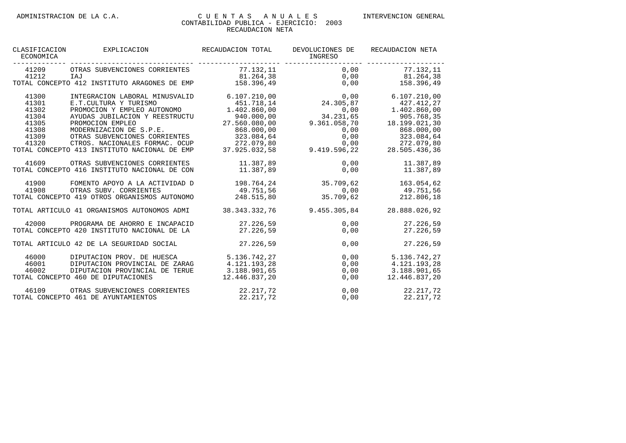| CLASIFICACION<br>ECONOMICA                                           | EXPLICACION                                                                                                                                                                                                                                                                                 | RECAUDACION TOTAL                                                                                                                    | DEVOLUCIONES DE<br>INGRESO                                                                     | RECAUDACION NETA                                                                                                                     |
|----------------------------------------------------------------------|---------------------------------------------------------------------------------------------------------------------------------------------------------------------------------------------------------------------------------------------------------------------------------------------|--------------------------------------------------------------------------------------------------------------------------------------|------------------------------------------------------------------------------------------------|--------------------------------------------------------------------------------------------------------------------------------------|
| 41209<br>41212                                                       | OTRAS SUBVENCIONES CORRIENTES<br>IAJ<br>TOTAL CONCEPTO 412 INSTITUTO ARAGONES DE EMP                                                                                                                                                                                                        | 77.132,11<br>81.264,38<br>158.396.49                                                                                                 | 0,00<br>0,00<br>0,00                                                                           | 77.132,11<br>81.264,38<br>158.396,49                                                                                                 |
| 41300<br>41301<br>41302<br>41304<br>41305<br>41308<br>41309<br>41320 | INTEGRACION LABORAL MINUSVALID<br>E.T. CULTURA Y TURISMO<br>PROMOCION Y EMPLEO AUTONOMO<br>AYUDAS JUBILACION Y REESTRUCTU<br>PROMOCION EMPLEO<br>MODERNIZACION DE S.P.E.<br>OTRAS SUBVENCIONES CORRIENTES<br>CTROS. NACIONALES FORMAC. OCUP<br>TOTAL CONCEPTO 413 INSTITUTO NACIONAL DE EMP | 6.107.210.00<br>451.718,14<br>1.402.860,00<br>940.000,00<br>27.560.080,00<br>868.000,00<br>323.084,64<br>272.079,80<br>37.925.032,58 | 0,00<br>24.305,87<br>0,00<br>34.231,65<br>9.361.058,70<br>0,00<br>0,00<br>0,00<br>9.419.596,22 | 6.107.210,00<br>427.412,27<br>1.402.860,00<br>905.768,35<br>18.199.021,30<br>868.000,00<br>323.084,64<br>272.079,80<br>28.505.436,36 |
| 41609                                                                | OTRAS SUBVENCIONES CORRIENTES<br>TOTAL CONCEPTO 416 INSTITUTO NACIONAL DE CON                                                                                                                                                                                                               | 11.387,89<br>11.387,89                                                                                                               | 0.00<br>0,00                                                                                   | 11.387,89<br>11.387,89                                                                                                               |
| 41900<br>41908                                                       | FOMENTO APOYO A LA ACTIVIDAD D<br>OTRAS SUBV. CORRIENTES<br>TOTAL CONCEPTO 419 OTROS ORGANISMOS AUTONOMO                                                                                                                                                                                    | 198.764,24<br>49.751.56<br>248.515.80                                                                                                | 35.709,62<br>0,00<br>35.709,62                                                                 | 163.054,62<br>49.751,56<br>212.806,18                                                                                                |
|                                                                      | TOTAL ARTICULO 41 ORGANISMOS AUTONOMOS ADMI                                                                                                                                                                                                                                                 | 38.343.332.76                                                                                                                        | 9.455.305.84                                                                                   | 28.888.026.92                                                                                                                        |
| 42000                                                                | PROGRAMA DE AHORRO E INCAPACID<br>TOTAL CONCEPTO 420 INSTITUTO NACIONAL DE LA                                                                                                                                                                                                               | 27.226,59<br>27.226.59                                                                                                               | 0,00<br>0,00                                                                                   | 27.226,59<br>27.226.59                                                                                                               |
|                                                                      | TOTAL ARTICULO 42 DE LA SEGURIDAD SOCIAL                                                                                                                                                                                                                                                    | 27.226,59                                                                                                                            | 0,00                                                                                           | 27.226,59                                                                                                                            |
| 46000<br>46001<br>46002                                              | DIPUTACION PROV. DE HUESCA<br>DIPUTACION PROVINCIAL DE ZARAG<br>DIPUTACION PROVINCIAL DE TERUE<br>TOTAL CONCEPTO 460 DE DIPUTACIONES                                                                                                                                                        | 5.136.742,27<br>4.121.193,28<br>3.188.901,65<br>12.446.837,20                                                                        | 0,00<br>0,00<br>0,00<br>0,00                                                                   | 5.136.742,27<br>4.121.193,28<br>3.188.901,65<br>12.446.837,20                                                                        |
| 46109                                                                | OTRAS SUBVENCIONES CORRIENTES<br>TOTAL CONCEPTO 461 DE AYUNTAMIENTOS                                                                                                                                                                                                                        | 22.217,72<br>22.217,72                                                                                                               | 0,00<br>0,00                                                                                   | 22.217,72<br>22.217,72                                                                                                               |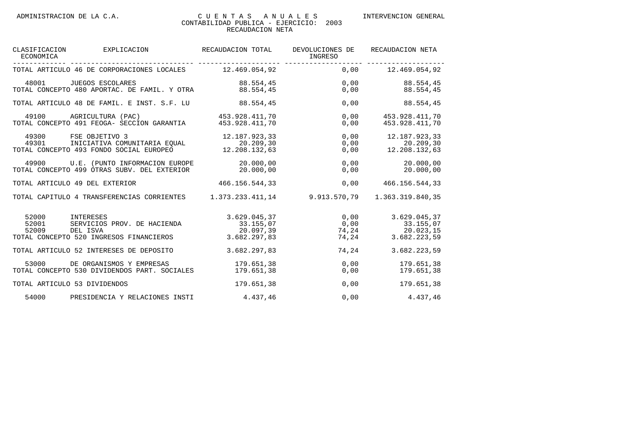| ECONOMICA                    | CLASIFICACION EXPLICACION RECAUDACION TOTAL                                                                                                                                                                                                                                                                                                                                             |                | DEVOLUCIONES DE<br>INGRESO                                                                                         | RECAUDACION NETA                 |
|------------------------------|-----------------------------------------------------------------------------------------------------------------------------------------------------------------------------------------------------------------------------------------------------------------------------------------------------------------------------------------------------------------------------------------|----------------|--------------------------------------------------------------------------------------------------------------------|----------------------------------|
|                              | TOTAL ARTICULO 46 DE CORPORACIONES LOCALES 12.469.054,92 0,00 12.469.054,92                                                                                                                                                                                                                                                                                                             |                |                                                                                                                    |                                  |
|                              | $\begin{array}{cccc} 48001 & \text{JUEGOS } \text{ESCOLARES} & \text{O.00} & 88.554, 45 \\ \text{TOTAL } \text{CONCEPTO } 480 & \text{APORTAC. DE FAMIL. Y OTRA} & 88.554, 45 & 0,00 \\ \end{array} \qquad \begin{array}{cccc} 88.554 & 45 & 0,00 \\ 88.554 & 45 & 0,00 \\ \end{array} \qquad \qquad \begin{array}{cccc} 88.554 & 45 & 0,00 \\ 0,00 & 88.554, 45 & 0.00 \\ \end{array}$ |                |                                                                                                                    |                                  |
|                              | TOTAL ARTICULO 48 DE FAMIL. E INST. S.F. LU 68.554,45                                                                                                                                                                                                                                                                                                                                   |                |                                                                                                                    | 0,00 88.554,45                   |
|                              | $\begin{array}{cccc} \texttt{49100} & \texttt{AGRICULTURA} & (\texttt{PAC}) & \texttt{453.928.411,70} \\ \texttt{TOTAL CONCEPTO 491 FEOGA- SECCION GARANTIA} & \texttt{453.928.411,70} \end{array}$                                                                                                                                                                                     |                | 0,00<br>0,00                                                                                                       | 453.928.411,70<br>453.928.411.70 |
|                              | 49300 FSE OBJETIVO 3 12.187.923,33<br>49301 INICIATIVA COMUNITARIA EQUAL 20.209,30<br>TAL CONCEPTO 493 FONDO SOCIAL EUROPEO 12.208.132,63<br>TOTAL CONCEPTO 493 FONDO SOCIAL EUROPEO                                                                                                                                                                                                    |                | $0,00$ 12.187.923,33<br>$20.209, 30$<br>$20.209, 30$<br>$0, 00$<br>$12.208.132, 63$<br>$0, 00$<br>$12.208.132, 63$ |                                  |
|                              | 49900 U.E. (PUNTO INFORMACION EUROPE 20.000,00 00 0,00 0,00 20.000,00<br>TOTAL CONCEPTO 499 OTRAS SUBV. DEL EXTERIOR 20.000,00                                                                                                                                                                                                                                                          |                |                                                                                                                    | $0,00$ 20.000,00                 |
|                              | TOTAL ARTICULO 49 DEL EXTERIOR                                                                                                                                                                                                                                                                                                                                                          | 466.156.544,33 | 0,00                                                                                                               | 466.156.544,33                   |
|                              | TOTAL CAPITULO 4 TRANSFERENCIAS CORRIENTES 1.373.233.411,14 9.913.570,79                                                                                                                                                                                                                                                                                                                |                |                                                                                                                    | 1.363.319.840,35                 |
|                              | 92000 TNTERESES 37<br>52001 SERVICIOS PROV. DE HACIENDA 33.155,07 0,00 33.155,07<br>52009 DEL ISVA 20.097,39 74,24 20.023,15<br>TOTAL CONCEPTO 520 INGRESOS FINANCIEROS 3.682.297,83                                                                                                                                                                                                    |                |                                                                                                                    | 74, 24 3.682.223, 59             |
|                              | TOTAL ARTICULO 52 INTERESES DE DEPOSITO                                                                                                                                                                                                                                                                                                                                                 | 3.682.297,83   | 74,24                                                                                                              | 3.682.223,59                     |
|                              | 53000 DE ORGANISMOS Y EMPRESAS 179.651,38<br>TOTAL CONCEPTO 530 DIVIDENDOS PART. SOCIALES 179.651,38                                                                                                                                                                                                                                                                                    |                | $\begin{array}{c} 0 \, , \, 0 \, 0 \, \ 0 \, \, , \, 0 \, 0 \, \end{array}$                                        | 179.651,38<br>179.651,38         |
| TOTAL ARTICULO 53 DIVIDENDOS |                                                                                                                                                                                                                                                                                                                                                                                         | 179.651,38     |                                                                                                                    | 0,00<br>179.651,38               |
| 54000                        | PRESIDENCIA Y RELACIONES INSTI                                                                                                                                                                                                                                                                                                                                                          | 4.437,46       | 0,00                                                                                                               | 4.437,46                         |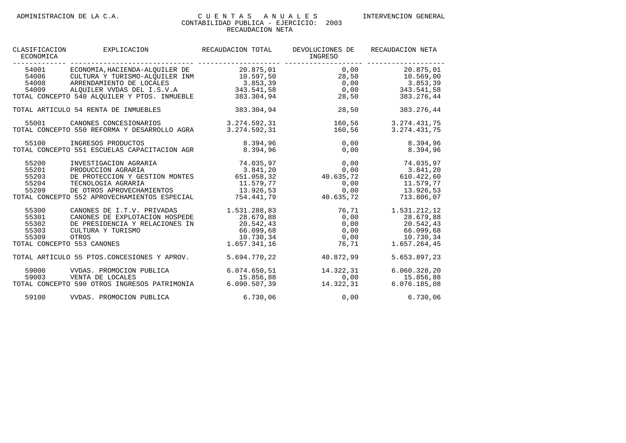| CLASIFICACION<br>ECONOMICA                                              | EXPLICACION                                                                                                                                                                                                                            | RECAUDACION TOTAL                                                                                              | DEVOLUCIONES DE<br>INGRESO                                        | RECAUDACION NETA                                                                                                                                                            |
|-------------------------------------------------------------------------|----------------------------------------------------------------------------------------------------------------------------------------------------------------------------------------------------------------------------------------|----------------------------------------------------------------------------------------------------------------|-------------------------------------------------------------------|-----------------------------------------------------------------------------------------------------------------------------------------------------------------------------|
| 54001                                                                   | ECONOMIA, HACIENDA-ALQUILER DE 20.875, 01<br>54006 CULTURA Y TURISMO-ALQUILER INM<br>54008 ARRENDAMIENTO DE LOCALES 3.853,39<br>54009 ALQUILER VVDAS DEL I.S.V.A 343.541,58<br>TOTAL CONCEPTO 540 ALQUILER Y PTOS. INMUEBLE 383.304,94 |                                                                                                                |                                                                   | $0,00$ 20.875,01<br>$28,50$<br>0,00 $3.853,39$<br>0,00 $3.853,39$<br>28,50<br>383.276,44                                                                                    |
|                                                                         | TOTAL ARTICULO 54 RENTA DE INMUEBLES                                                                                                                                                                                                   | 383.304,94                                                                                                     | 28,50                                                             | 383.276,44                                                                                                                                                                  |
| 55001                                                                   | CANONES CONCESIONARIOS 3.274.592,31<br>TOTAL CONCEPTO 550 REFORMA Y DESARROLLO AGRA                                                                                                                                                    | 3.274.592,31                                                                                                   | 160,56                                                            | 160,56 3.274.431,75<br>3.274.431,75                                                                                                                                         |
|                                                                         |                                                                                                                                                                                                                                        |                                                                                                                |                                                                   | 8.394,96<br>8.394.96                                                                                                                                                        |
| 55200<br>55201<br>55203<br>55204<br>55209                               | INVESTIGACION AGRARIA 74.035,97<br>PRODUCCION AGRARIA<br>DE PROTECCION Y GESTION MONTES 651.058,32 40.635,72 610.422,60<br>TECNOLOGIA AGRARIA<br>DE OTROS APROVECHAMIENTOS<br>TOTAL CONCEPTO 552 APROVECHAMIENTOS ESPECIAL             | 3.841,20                                                                                                       | 0,00<br>$11.579,77$<br>$13.926,53$<br>$754.441,79$<br>$16.635,72$ | 74.035,97<br>$0,00$ $11.579,77$<br>0,00<br>13.926,53<br>713.806,07                                                                                                          |
| 55300<br>55301<br>55302<br>55303<br>55309<br>TOTAL CONCEPTO 553 CANONES | CANONES DE I.T.V. PRIVADAS<br>CANONES DE EXPLOTACION HOSPEDE<br>DE PRESIDENCIA Y RELACIONES IN<br>CULTURA Y TURISMO<br>OTROS                                                                                                           | 1.531.288,83<br>28.679,88<br>20.542,43<br>66.099,68<br>10.730,34<br>1.657.341,16                               |                                                                   | 76,71 1.531.212,12<br>$0,00$ 28.679,88<br>$\begin{array}{cccc} 0,00 & & & & 20.542,43 \ 0,00 & & & 66.099,68 \ 0,00 & & & 10.730,34 \ 76,71 & & & 1.657.264,45 \end{array}$ |
|                                                                         | TOTAL ARTICULO 55 PTOS.CONCESIONES Y APROV.                                                                                                                                                                                            |                                                                                                                | 5.694.770.22 40.872.99                                            | 5.653.897,23                                                                                                                                                                |
| 59000<br>59003                                                          | VVDAS. PROMOCION PUBLICA<br>VENTA DE LOCALES<br>TOTAL CONCEPTO 590 OTROS INGRESOS PATRIMONIA                                                                                                                                           | $\begin{array}{llll} 6.074.650, 51 & & 14.32 \\ 15.856, 88 & & & 14.32 \\ 6.090.507, 39 & & 14.32 \end{array}$ | 14.322,31<br>0,00<br>14.322,31                                    | 6.060.328, 20<br>15.856,88<br>6.076.185.08                                                                                                                                  |
| 59100                                                                   | VVDAS. PROMOCION PUBLICA                                                                                                                                                                                                               | 6.730,06                                                                                                       |                                                                   | 0,00<br>6.730,06                                                                                                                                                            |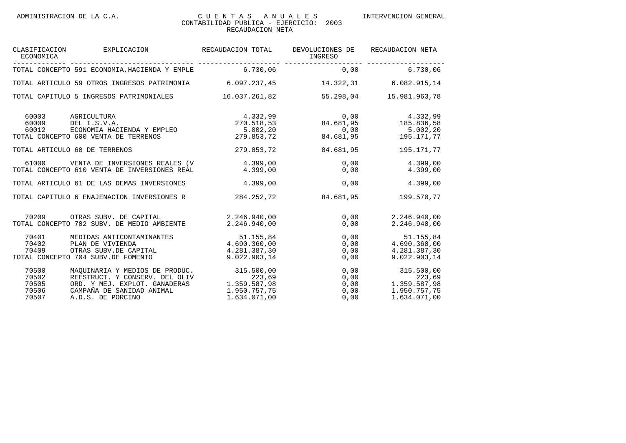| CLASIFICACION<br>ECONOMICA                                                                     | EXPLICACION RECAUDACION TOTAL                                                                                                                                                      |                                                                                                                                                    | DEVOLUCIONES DE<br>INGRESO | RECAUDACION NETA                                                                                                                                                                                                     |
|------------------------------------------------------------------------------------------------|------------------------------------------------------------------------------------------------------------------------------------------------------------------------------------|----------------------------------------------------------------------------------------------------------------------------------------------------|----------------------------|----------------------------------------------------------------------------------------------------------------------------------------------------------------------------------------------------------------------|
|                                                                                                | TOTAL CONCEPTO 591 ECONOMIA, HACIENDA Y EMPLE 6.730,06 6 0,00 00                                                                                                                   |                                                                                                                                                    |                            | 6.730,06                                                                                                                                                                                                             |
|                                                                                                | TOTAL ARTICULO 59 OTROS INGRESOS PATRIMONIA 6.097.237,45 14.322,31 6.082.915,14                                                                                                    |                                                                                                                                                    |                            |                                                                                                                                                                                                                      |
|                                                                                                | TOTAL CAPITULO 5 INGRESOS PATRIMONIALES                                                                                                                                            | 16.037.261.82                                                                                                                                      |                            | 55.298.04 15.981.963.78                                                                                                                                                                                              |
| 60003<br>AGRICULTURA<br>60009<br>DEL I.S.V.A.<br>60012<br>TOTAL CONCEPTO 600 VENTA DE TERRENOS | DEL I.S.V.A.<br>ECONOMIA HACIENDA Y EMPLEO<br>COO VENTA DE TERRENOS                                                                                                                | 4.332,99<br>270.518,53<br>270.518,53<br>270.518,53<br>5.002,20<br>279.853,72<br>279.853,72<br>279.853,72<br>279.853,72<br>279.853,72<br>279.853,72 |                            |                                                                                                                                                                                                                      |
| TOTAL ARTICULO 60 DE TERRENOS                                                                  |                                                                                                                                                                                    | 279.853,72                                                                                                                                         | 84.681,95                  | 195.171,77                                                                                                                                                                                                           |
| 61000                                                                                          | VENTA DE INVERSIONES REALES (V 4.399,00<br>TOTAL CONCEPTO 610 VENTA DE INVERSIONES REAL                                                                                            |                                                                                                                                                    | 0,00<br>4.399.00<br>0,00   | 4.399,00<br>4.399,00                                                                                                                                                                                                 |
| TOTAL ARTICULO 61 DE LAS DEMAS INVERSIONES                                                     |                                                                                                                                                                                    | 4.399,00                                                                                                                                           | 0,00                       | 4.399,00                                                                                                                                                                                                             |
| TOTAL CAPITULO 6 ENAJENACION INVERSIONES R                                                     |                                                                                                                                                                                    | 284.252,72                                                                                                                                         | 84.681,95                  | 199.570,77                                                                                                                                                                                                           |
| TOTAL CONCEPTO 702 SUBV. DE MEDIO AMBIENTE                                                     | 70209 OTRAS SUBV. DE CAPITAL                                                                                                                                                       | 2.246.940.00<br>2.246.940.00                                                                                                                       | 0,00<br>0,00               | 2.246.940,00<br>2.246.940,00                                                                                                                                                                                         |
| 70401<br>70402<br>70409<br>TOTAL CONCEPTO 704 SUBV.DE FOMENTO                                  | MEDIDAS ANTICONTAMINANTES<br>PLAN DE VIVIENDA<br>OTRAS SUBV.DE CAPITAL                                                                                                             | NTES<br>4.690.360,00<br>4.281.387,30<br>4.281.387,30<br>9.022.903,14                                                                               | 0,00<br>0,00<br>0,00       | 51.155,84<br>0,00<br>0,00<br>4.690.360,00<br>4.281.387,30<br>9.022.903,14                                                                                                                                            |
| 70500<br>70502<br>70505<br>70506<br>70507                                                      | MAQUINARIA Y MEDIOS DE PRODUC. 315.500,00<br>REESTRUCT. Y CONSERV. DEL OLIV 223,69<br>ORD. Y MEJ. EXPLOT. GANADERAS 1.359.587,98<br>CAMPAÑA DE SANIDAD ANIMAL<br>A.D.S. DE PORCINO | 1.950.757,75<br>1.634.071,00                                                                                                                       | 0,00                       | $\begin{array}{cc} 0\, , 0\, 0 & \qquad & 315\, . \\ 0\, , 0\, 0 & \qquad & 1\, .359\, . \\ 0\, , 0\, 0 & \qquad & 1\, .950\, . \end{array}$<br>315.500,00<br>223,69<br>1.359.587,98<br>1.950.757,75<br>1.634.071,00 |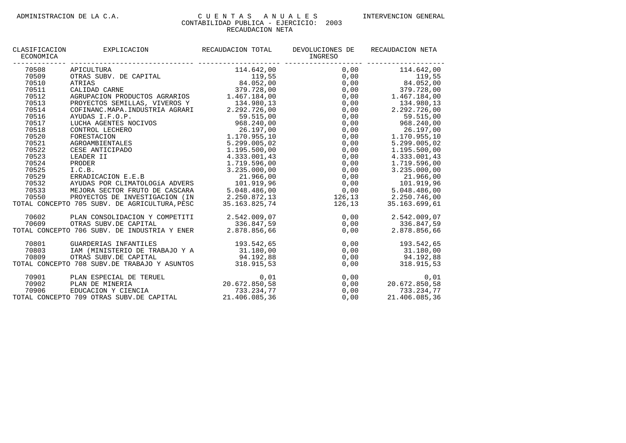| CLASIFICACION<br>ECONOMICA | EXPLICACION RECAUDACION TOTAL<br>---------------------------- --------                                                                                                                                                                                                                                                                                | DEVOLUCIONES DE<br>INGRESO | RECAUDACION NETA |
|----------------------------|-------------------------------------------------------------------------------------------------------------------------------------------------------------------------------------------------------------------------------------------------------------------------------------------------------------------------------------------------------|----------------------------|------------------|
| 70508                      | APICULTURA<br>APICULTURA<br>OTRAS SUBV. DE CAPITAL 114.642,00<br>ATRIAS 379.728,00<br>CALIDAD CARNE 379.728,00<br>AGRUPACION PRODUCTOS AGRARIOS 1.467.184,00<br>AGRUPACION PRODUCTOS AGRARIOS 1.467.184,00<br>279.728,00<br>279.728,00<br>279.                                                                                                        |                            |                  |
| 70509                      |                                                                                                                                                                                                                                                                                                                                                       |                            |                  |
| 70510                      |                                                                                                                                                                                                                                                                                                                                                       |                            |                  |
| 70511                      |                                                                                                                                                                                                                                                                                                                                                       |                            |                  |
| 70512                      |                                                                                                                                                                                                                                                                                                                                                       |                            |                  |
| 70513                      | PROYECTOS SEMILLAS, VIVEROS Y 134.980,13                                                                                                                                                                                                                                                                                                              | $0,00$ 134.980,13          |                  |
| 70514                      |                                                                                                                                                                                                                                                                                                                                                       |                            |                  |
| 70516                      |                                                                                                                                                                                                                                                                                                                                                       |                            |                  |
| 70517                      |                                                                                                                                                                                                                                                                                                                                                       |                            |                  |
| 70518                      |                                                                                                                                                                                                                                                                                                                                                       |                            |                  |
| 70520                      |                                                                                                                                                                                                                                                                                                                                                       |                            |                  |
| 70521                      |                                                                                                                                                                                                                                                                                                                                                       |                            |                  |
| 70522                      |                                                                                                                                                                                                                                                                                                                                                       |                            |                  |
| 70523                      |                                                                                                                                                                                                                                                                                                                                                       |                            |                  |
|                            |                                                                                                                                                                                                                                                                                                                                                       |                            |                  |
|                            | $\begin{tabular}{c c c c} \multicolumn{3}{c}{AYUDAS I.F.O.P.} & \multicolumn{3}{c}{1.34.980,13} \\ \multicolumn{3}{c}{AVUDAS I.F.O.P.} & \multicolumn{3}{c}{59.515,00} & 0,00 & 2.292.726,00 \\ \multicolumn{3}{c}{1.34.980,13} & 0,00 & 59.515,00 \\ \multicolumn{3}{c}{1.34.980,13} & 0,00 & 59.515,00 \\ \multicolumn{3}{c}{1.34.980,13} & 0,00 &$ |                            |                  |
|                            |                                                                                                                                                                                                                                                                                                                                                       |                            |                  |
|                            |                                                                                                                                                                                                                                                                                                                                                       |                            |                  |
|                            |                                                                                                                                                                                                                                                                                                                                                       |                            |                  |
|                            |                                                                                                                                                                                                                                                                                                                                                       |                            |                  |
|                            | 1.719.596,00<br>70524 PRODER<br>70524 PRODER<br>70525 I.C.B.<br>70525 I.C.B.<br>8.235.000,00<br>70529 ERRADICACION E.E.B<br>8.235.000,00<br>70529 ERRADICACION E.E.B<br>21.966,00<br>70532 AYUDAS POR CLIMATOLOGÍA ADVERS<br>70532 AYUDAS POR CLIMAT<br>TOTAL CONCEPTO 705 SUBV. DE AGRICULTURA, PESC                                                 |                            |                  |
| 70602                      | PLAN CONSOLIDACION Y COMPETITI<br>0,00 2.542.009,07<br>0,00 336.847,59<br>0,00 336.847,59<br>0,00 2.878.856,66<br>0,00 2.878.856,66                                                                                                                                                                                                                   |                            |                  |
|                            |                                                                                                                                                                                                                                                                                                                                                       |                            |                  |
|                            |                                                                                                                                                                                                                                                                                                                                                       |                            |                  |
| 70801                      | GUARDERIAS INFANTILES<br>IM (MINISTERIO DE TRABAJO Y A 31.180,00 0 0,00 31.180,00                                                                                                                                                                                                                                                                     |                            |                  |
| 70803                      |                                                                                                                                                                                                                                                                                                                                                       |                            |                  |
|                            |                                                                                                                                                                                                                                                                                                                                                       |                            |                  |
|                            | 70809 0TRAS SUBV.DE CAPITAL 94.192,88 0,00 0 94.192,88<br>TOTAL CONCEPTO 708 SUBV.DE TRABAJO Y ASUNTOS 318.915,53 0,00 318.915,53                                                                                                                                                                                                                     |                            |                  |
|                            | 0,01 0 1 PLAN ESPECIAL DE TERUEL 0,01<br>10902 PLAN DE MINERIA 20.672.850,58 0,00 20.672.850,58<br>10906 EDUCACION Y CIENCIA 733.234,77 0,00 733.234,77<br>11.406.085,36 0,00 21.406.085,36 0,00 21.406.085,36                                                                                                                                        |                            |                  |
|                            |                                                                                                                                                                                                                                                                                                                                                       |                            |                  |
|                            |                                                                                                                                                                                                                                                                                                                                                       |                            |                  |
|                            |                                                                                                                                                                                                                                                                                                                                                       |                            |                  |
|                            |                                                                                                                                                                                                                                                                                                                                                       |                            |                  |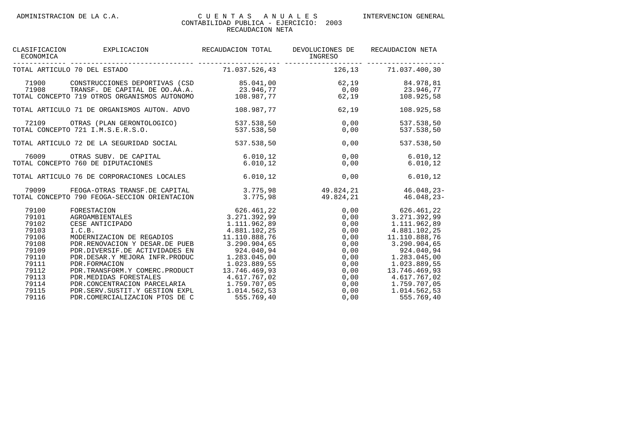### CLASIFICACION EXPLICACION RECAUDACION TOTAL DEVOLUCIONES DE RECAUDACION NETA<br>ECONOMICA ECONOMICA INGRESO ------------- ------------------------------ -------------------- ------------------- ------------------- 126.13 71.037.400.30 71900 CONSTRUCCIONES DEPORTIVAS (CSD 85.041,00 62,19 84.978,81 71908 TRANSF. DE CAPITAL DE OO.AA.A. 23.946,77 0,00 23.946,77 TOTAL CONCEPTO 719 OTROS ORGANISMOS AUTONOMO 108.987,77 62,19 108.925,58 TOTAL ARTICULO 71 DE ORGANISMOS AUTON. ADVO 108.987,77 62,19 108.925,58 72109 OTRAS (PLAN GERONTOLOGICO) 537.538,50 0,00 537.538,50 TOTAL CONCEPTO 721 I.M.S.E.R.S.O. TOTAL ARTICULO 72 DE LA SEGURIDAD SOCIAL 537.538,50 0,00 537.538,50 76009 OTRAS SUBV. DE CAPITAL 6.010,12 0,00 6.010,12 TOTAL CONCEPTO 760 DE DIPUTACIONES 6.010,12 0,00 6.010,12 TOTAL ARTICULO 76 DE CORPORACIONES LOCALES 6.010,12 0,00 6.010,12 -79099 FEOGA-OTRAS TRANSF.DE CAPITAL 3.775,98 49.824,21 46.048,23<br>-75,98 49.824,21 46.048,23- 775,98 49.824,21 46.048,23 TOTAL CONCEPTO 790 FEOGA-SECCION ORIENTACION 79100 FORESTACION 626.461,22 0,00 626.461,22 79101 AGROAMBIENTALES 3.271.392,99 0,00 3.271.392,99 79102 CESE ANTICIPADO 1.111.962,89 0,00 1.111.962,89 79103 I.C.B. 4.881.102,25 0,00 4.881.102,25 79106 MODERNIZACION DE REGADIOS 11.110.888,76 0,00 11.110.888,76 79108 PDR.RENOVACION Y DESAR.DE PUEB 3.290.904,65 0,00 3.290.904,65 79109 PDR.DIVERSIF.DE ACTIVIDADES EN 924.040,94 0,00 924.040,94 79110 PDR.DESAR.Y MEJORA INFR.PRODUC 1.283.045,00 0,00 1.283.045,00 79111 PDR.FORMACION 1.023.889,55 0,00 1.023.889,55 79112 PDR.TRANSFORM.Y COMERC.PRODUCT 13.746.469,93 0,00 13.746.469,93

79113 PDR.MEDIDAS FORESTALES 4.617.767,02 0,00 4.617.767,02 79114 PDR.CONCENTRACION PARCELARIA 1.759.707,05 0,00 1.759.707,05 79115 PDR.SERV.SUSTIT.Y GESTION EXPL 1.014.562,53 0,00 1.014.562,53 79116 PDR.COMERCIALIZACION PTOS DE C 555.769,40 0,00 555.769,40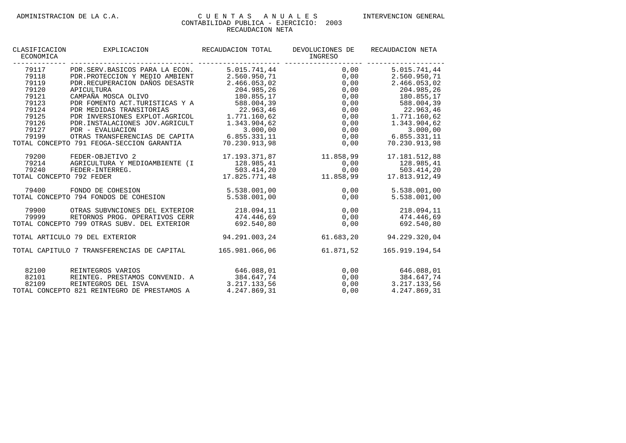| CLASIFICACION<br>ECONOMICA                 | EXPLICACION                                 | RECAUDACION TOTAL | DEVOLUCIONES DE<br>INGRESO | RECAUDACION NETA      |
|--------------------------------------------|---------------------------------------------|-------------------|----------------------------|-----------------------|
| 79117                                      | PDR.SERV.BASICOS PARA LA ECON.              | 5.015.741.44      | 0,00                       | 5.015.741,44          |
| 79118                                      | PDR. PROTECCION Y MEDIO AMBIENT             | 2.560.950,71      | 0,00                       | 2.560.950,71          |
| 79119                                      | PDR.RECUPERACION DAÑOS DESASTR              | 2.466.053,02      | 0,00                       | 2.466.053,02          |
| 79120                                      | APICULTURA                                  | 204.985,26        | 0,00                       | 204.985,26            |
| 79121                                      | CAMPAÑA MOSCA OLIVO                         | 180.855,17        | 0,00                       | 180.855,17            |
| 79123                                      | PDR FOMENTO ACT.TURISTICAS Y A              | 588.004,39        | 0,00                       | 588.004,39            |
| 79124                                      | PDR MEDIDAS TRANSITORIAS                    | 22.963.46         | 0,00                       | 22.963,46             |
| 79125                                      | PDR INVERSIONES EXPLOT.AGRICOL              | 1.771.160,62      | 0,00                       | 1.771.160,62          |
| 79126                                      | PDR. INSTALACIONES JOV. AGRICULT            | 1.343.904,62      | 0,00                       | 1.343.904,62          |
| 79127                                      | PDR - EVALUACION                            | 3.000,00          | 0,00                       | 3.000,00              |
| 79199                                      | OTRAS TRANSFERENCIAS DE CAPITA              | 6.855.331,11      |                            | $0,00$ 6.855.331,11   |
| TOTAL CONCEPTO 791 FEOGA-SECCION GARANTIA  |                                             | 70.230.913.98     | 0,00                       | 70.230.913.98         |
| 79200                                      | FEDER-OBJETIVO 2                            | 17.193.371,87     | 11.858,99                  | 17.181.512,88         |
| 79214                                      | AGRICULTURA Y MEDIOAMBIENTE (I              | 128.985,41        | 0,00                       | 128.985,41            |
| 79240                                      | FEDER-INTERREG.                             | 503.414,20        | 0,00                       | 503.414,20            |
| TOTAL CONCEPTO 792 FEDER                   |                                             | 17.825.771,48     | 11.858,99                  | 17.813.912,49         |
| 79400                                      | FONDO DE COHESION                           | 5.538.001,00      | 0.00                       | 5.538.001,00          |
|                                            | TOTAL CONCEPTO 794 FONDOS DE COHESION       | 5.538.001,00      | 0,00                       | 5.538.001,00          |
| 79900                                      | OTRAS SUBVNCIONES DEL EXTERIOR              | 218.094,11        | 0, 00                      | 218.094,11            |
| 79999                                      | RETORNOS PROG. OPERATIVOS CERR              | 474.446,69        | 0,00                       | 474.446,69            |
|                                            | TOTAL CONCEPTO 799 OTRAS SUBV. DEL EXTERIOR | 692.540.80        | 0,00                       | 692.540.80            |
|                                            | TOTAL ARTICULO 79 DEL EXTERIOR              | 94.291.003,24     | 61.683,20                  | 94.229.320,04         |
| TOTAL CAPITULO 7 TRANSFERENCIAS DE CAPITAL |                                             | 165.981.066,06    | 61.871,52                  | 165.919.194,54        |
| 82100                                      | REINTEGROS VARIOS                           | 646.088,01        |                            | 0.00<br>646.088,01    |
| 82101                                      | REINTEG. PRESTAMOS CONVENID. A              | 384.647,74        |                            | 0,00<br>384.647,74    |
| 82109                                      | REINTEGROS DEL ISVA                         | 3.217.133,56      |                            | $0,00$ $3.217.133,56$ |
|                                            | TOTAL CONCEPTO 821 REINTEGRO DE PRESTAMOS A | 4.247.869,31      | 0,00                       | 4.247.869,31          |
|                                            |                                             |                   |                            |                       |